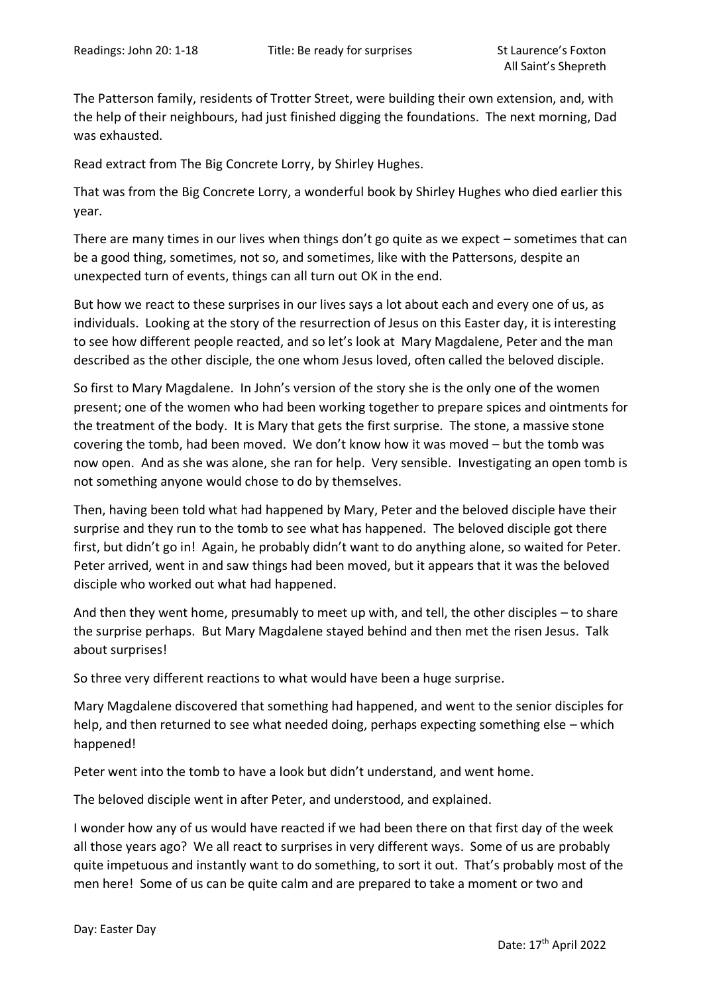The Patterson family, residents of Trotter Street, were building their own extension, and, with the help of their neighbours, had just finished digging the foundations. The next morning, Dad was exhausted.

Read extract from The Big Concrete Lorry, by Shirley Hughes.

That was from the Big Concrete Lorry, a wonderful book by Shirley Hughes who died earlier this year.

There are many times in our lives when things don't go quite as we expect – sometimes that can be a good thing, sometimes, not so, and sometimes, like with the Pattersons, despite an unexpected turn of events, things can all turn out OK in the end.

But how we react to these surprises in our lives says a lot about each and every one of us, as individuals. Looking at the story of the resurrection of Jesus on this Easter day, it is interesting to see how different people reacted, and so let's look at Mary Magdalene, Peter and the man described as the other disciple, the one whom Jesus loved, often called the beloved disciple.

So first to Mary Magdalene. In John's version of the story she is the only one of the women present; one of the women who had been working together to prepare spices and ointments for the treatment of the body. It is Mary that gets the first surprise. The stone, a massive stone covering the tomb, had been moved. We don't know how it was moved – but the tomb was now open. And as she was alone, she ran for help. Very sensible. Investigating an open tomb is not something anyone would chose to do by themselves.

Then, having been told what had happened by Mary, Peter and the beloved disciple have their surprise and they run to the tomb to see what has happened. The beloved disciple got there first, but didn't go in! Again, he probably didn't want to do anything alone, so waited for Peter. Peter arrived, went in and saw things had been moved, but it appears that it was the beloved disciple who worked out what had happened.

And then they went home, presumably to meet up with, and tell, the other disciples – to share the surprise perhaps. But Mary Magdalene stayed behind and then met the risen Jesus. Talk about surprises!

So three very different reactions to what would have been a huge surprise.

Mary Magdalene discovered that something had happened, and went to the senior disciples for help, and then returned to see what needed doing, perhaps expecting something else – which happened!

Peter went into the tomb to have a look but didn't understand, and went home.

The beloved disciple went in after Peter, and understood, and explained.

I wonder how any of us would have reacted if we had been there on that first day of the week all those years ago? We all react to surprises in very different ways. Some of us are probably quite impetuous and instantly want to do something, to sort it out. That's probably most of the men here! Some of us can be quite calm and are prepared to take a moment or two and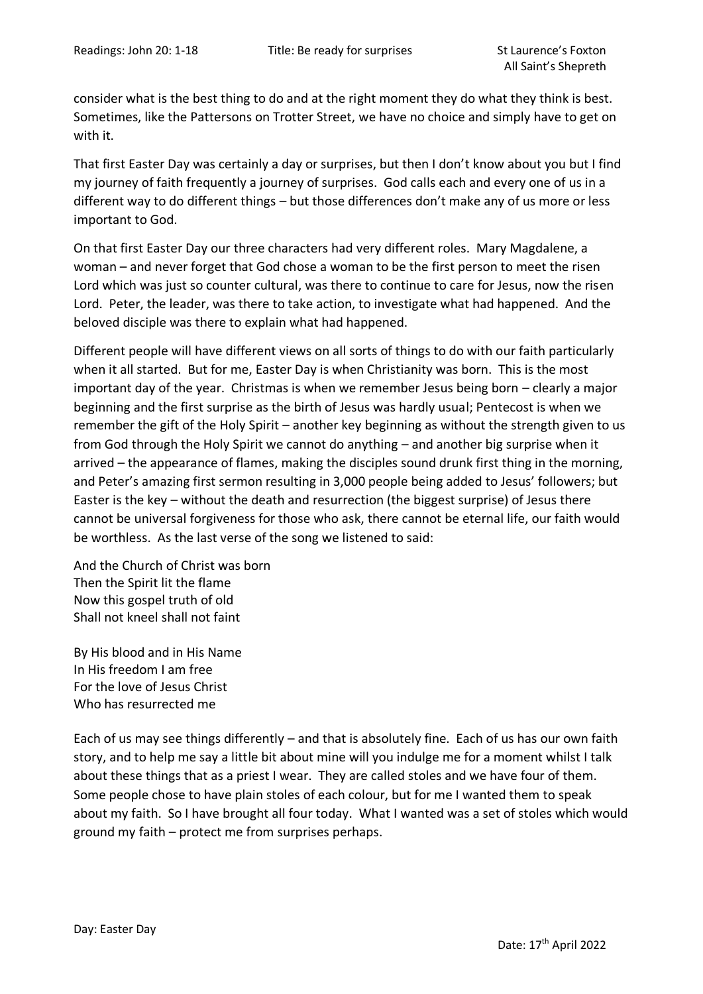consider what is the best thing to do and at the right moment they do what they think is best. Sometimes, like the Pattersons on Trotter Street, we have no choice and simply have to get on with it.

That first Easter Day was certainly a day or surprises, but then I don't know about you but I find my journey of faith frequently a journey of surprises. God calls each and every one of us in a different way to do different things – but those differences don't make any of us more or less important to God.

On that first Easter Day our three characters had very different roles. Mary Magdalene, a woman – and never forget that God chose a woman to be the first person to meet the risen Lord which was just so counter cultural, was there to continue to care for Jesus, now the risen Lord. Peter, the leader, was there to take action, to investigate what had happened. And the beloved disciple was there to explain what had happened.

Different people will have different views on all sorts of things to do with our faith particularly when it all started. But for me, Easter Day is when Christianity was born. This is the most important day of the year. Christmas is when we remember Jesus being born – clearly a major beginning and the first surprise as the birth of Jesus was hardly usual; Pentecost is when we remember the gift of the Holy Spirit – another key beginning as without the strength given to us from God through the Holy Spirit we cannot do anything – and another big surprise when it arrived – the appearance of flames, making the disciples sound drunk first thing in the morning, and Peter's amazing first sermon resulting in 3,000 people being added to Jesus' followers; but Easter is the key – without the death and resurrection (the biggest surprise) of Jesus there cannot be universal forgiveness for those who ask, there cannot be eternal life, our faith would be worthless. As the last verse of the song we listened to said:

And the Church of Christ was born Then the Spirit lit the flame Now this gospel truth of old Shall not kneel shall not faint

By His blood and in His Name In His freedom I am free For the love of Jesus Christ Who has resurrected me

Each of us may see things differently – and that is absolutely fine. Each of us has our own faith story, and to help me say a little bit about mine will you indulge me for a moment whilst I talk about these things that as a priest I wear. They are called stoles and we have four of them. Some people chose to have plain stoles of each colour, but for me I wanted them to speak about my faith. So I have brought all four today. What I wanted was a set of stoles which would ground my faith – protect me from surprises perhaps.